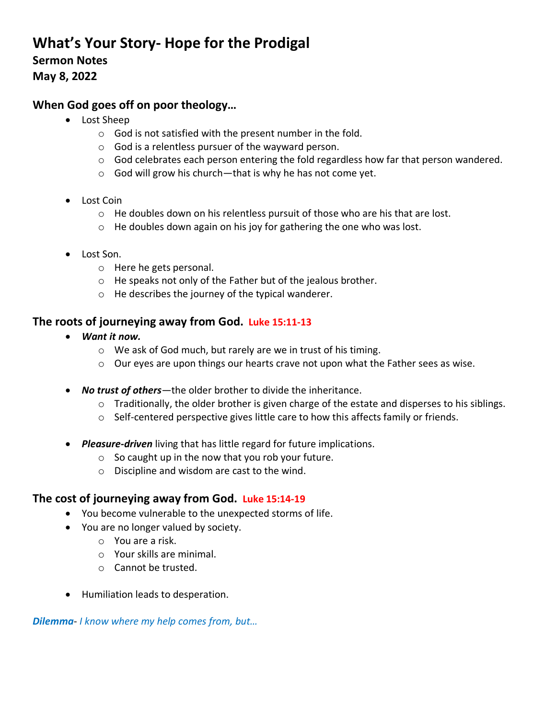# **What's Your Story- Hope for the Prodigal Sermon Notes May 8, 2022**

## **When God goes off on poor theology…**

- Lost Sheep
	- o God is not satisfied with the present number in the fold.
	- o God is a relentless pursuer of the wayward person.
	- o God celebrates each person entering the fold regardless how far that person wandered.
	- o God will grow his church—that is why he has not come yet.
- Lost Coin
	- $\circ$  He doubles down on his relentless pursuit of those who are his that are lost.
	- o He doubles down again on his joy for gathering the one who was lost.
- Lost Son.
	- o Here he gets personal.
	- o He speaks not only of the Father but of the jealous brother.
	- o He describes the journey of the typical wanderer.

### **The roots of journeying away from God. Luke 15:11-13**

- *Want it now.* 
	- o We ask of God much, but rarely are we in trust of his timing.
	- o Our eyes are upon things our hearts crave not upon what the Father sees as wise.
- *No trust of others*—the older brother to divide the inheritance.
	- o Traditionally, the older brother is given charge of the estate and disperses to his siblings.
	- $\circ$  Self-centered perspective gives little care to how this affects family or friends.
- *Pleasure-driven* living that has little regard for future implications.
	- $\circ$  So caught up in the now that you rob your future.
	- o Discipline and wisdom are cast to the wind.

### **The cost of journeying away from God. Luke 15:14-19**

- You become vulnerable to the unexpected storms of life.
- You are no longer valued by society.
	- o You are a risk.
	- o Your skills are minimal.
	- o Cannot be trusted.
- Humiliation leads to desperation.

*Dilemma*- *I know where my help comes from, but…*